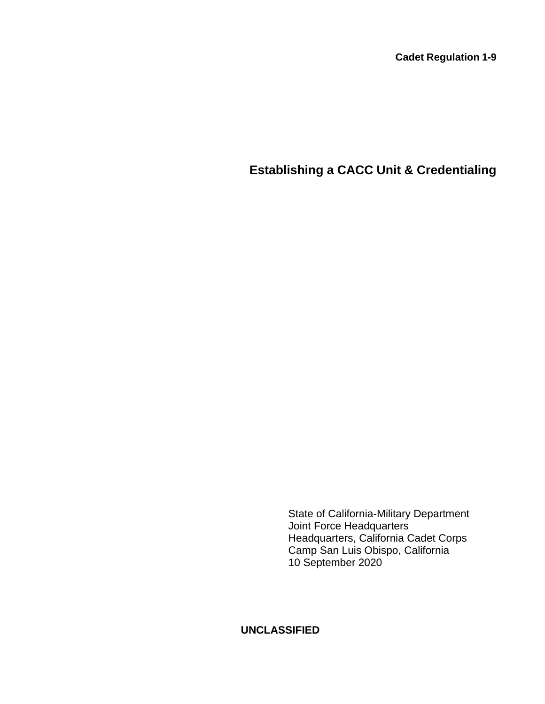**Cadet Regulation 1-9**

# **Establishing a CACC Unit & Credentialing**

State of California-Military Department Joint Force Headquarters Headquarters, California Cadet Corps Camp San Luis Obispo, California 10 September 2020

**UNCLASSIFIED**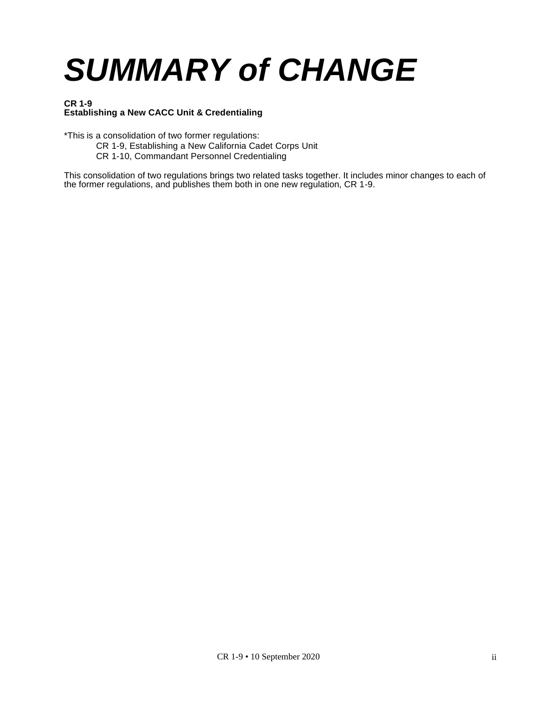# *SUMMARY of CHANGE*

#### **CR 1-9 Establishing a New CACC Unit & Credentialing**

\*This is a consolidation of two former regulations:

- CR 1-9, Establishing a New California Cadet Corps Unit
- CR 1-10, Commandant Personnel Credentialing

This consolidation of two regulations brings two related tasks together. It includes minor changes to each of the former regulations, and publishes them both in one new regulation, CR 1-9.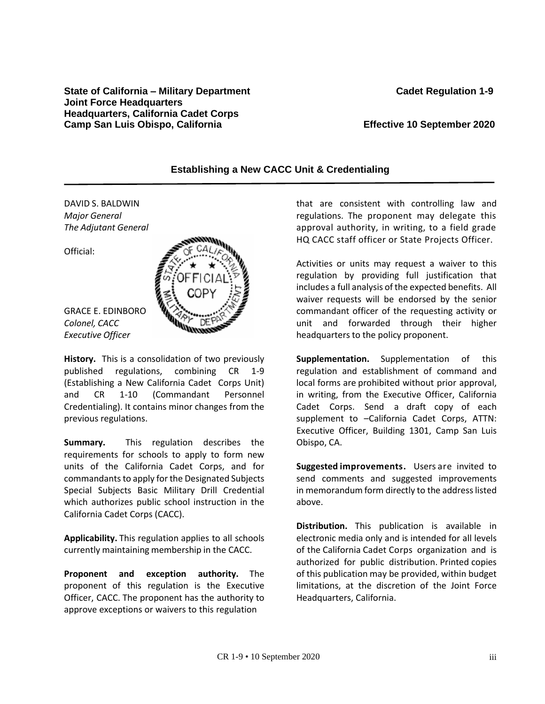#### **State of California – Military Department Cadet Regulation 1-9 Joint Force Headquarters Headquarters, California Cadet Corps Camp San Luis Obispo, California Effective 10 September 2020**

# **Establishing a New CACC Unit & Credentialing**

DAVID S. BALDWIN *Major General The Adjutant General*

Official:





**History.** This is a consolidation of two previously published regulations, combining CR 1-9 (Establishing a New California Cadet Corps Unit) and CR 1-10 (Commandant Personnel Credentialing). It contains minor changes from the previous regulations.

**Summary.** This regulation describes the requirements for schools to apply to form new units of the California Cadet Corps, and for commandants to apply for the Designated Subjects Special Subjects Basic Military Drill Credential which authorizes public school instruction in the California Cadet Corps (CACC).

**Applicability.** This regulation applies to all schools currently maintaining membership in the CACC.

**Proponent and exception authority.** The proponent of this regulation is the Executive Officer, CACC. The proponent has the authority to approve exceptions or waivers to this regulation

that are consistent with controlling law and regulations. The proponent may delegate this approval authority, in writing, to a field grade HQ CACC staff officer or State Projects Officer.

Activities or units may request a waiver to this regulation by providing full justification that includes a full analysis of the expected benefits. All waiver requests will be endorsed by the senior commandant officer of the requesting activity or unit and forwarded through their higher headquarters to the policy proponent.

**Supplementation.** Supplementation of this regulation and establishment of command and local forms are prohibited without prior approval, in writing, from the Executive Officer, California Cadet Corps. Send a draft copy of each supplement to –California Cadet Corps, ATTN: Executive Officer, Building 1301, Camp San Luis Obispo, CA.

**Suggested improvements.** Users are invited to send comments and suggested improvements in memorandum form directly to the address listed above.

**Distribution.** This publication is available in electronic media only and is intended for all levels of the California Cadet Corps organization and is authorized for public distribution. Printed copies of this publication may be provided, within budget limitations, at the discretion of the Joint Force Headquarters, California.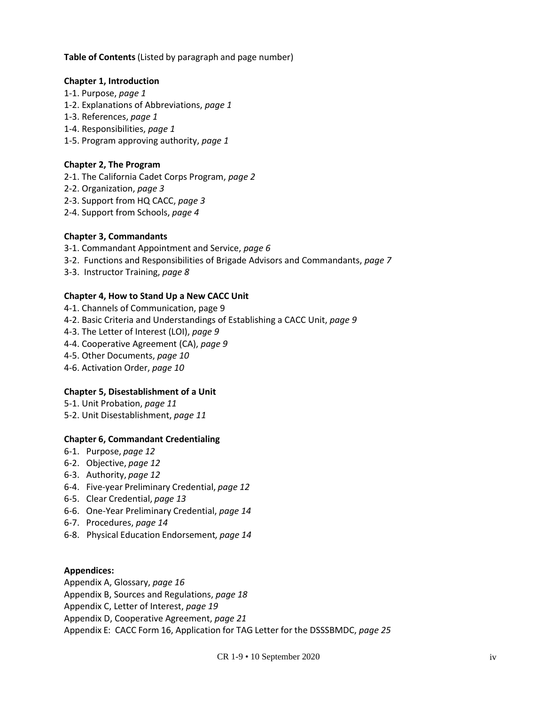**Table of Contents** (Listed by paragraph and page number)

#### **Chapter 1, Introduction**

- 1-1. Purpose, *page 1*
- 1-2. Explanations of Abbreviations, *page 1*
- 1-3. References, *page 1*
- 1-4. Responsibilities, *page 1*
- 1-5. Program approving authority, *page 1*

## **Chapter 2, The Program**

- 2-1. The California Cadet Corps Program, *page 2*
- 2-2. Organization, *page 3*
- 2-3. Support from HQ CACC, *page 3*
- 2-4. Support from Schools, *page 4*

#### **Chapter 3, Commandants**

- 3-1. Commandant Appointment and Service, *page 6*
- 3-2. Functions and Responsibilities of Brigade Advisors and Commandants, *page 7*
- 3-3. Instructor Training, *page 8*

#### **Chapter 4, How to Stand Up a New CACC Unit**

- 4-1. Channels of Communication, page 9
- 4-2. Basic Criteria and Understandings of Establishing a CACC Unit, *page 9*
- 4-3. The Letter of Interest (LOI), *page 9*
- 4-4. Cooperative Agreement (CA), *page 9*
- 4-5. Other Documents, *page 10*
- 4-6. Activation Order, *page 10*

# **Chapter 5, Disestablishment of a Unit**

- 5-1. Unit Probation, *page 11*
- 5-2. Unit Disestablishment, *page 11*

# **Chapter 6, Commandant Credentialing**

- 6-1. Purpose, *page 12*
- 6-2. Objective, *page 12*
- 6-3. Authority, *page 12*
- 6-4. Five-year Preliminary Credential, *page 12*
- 6-5. Clear Credential, *page 13*
- 6-6. One-Year Preliminary Credential, *page 14*
- 6-7. Procedures, *page 14*
- 6-8. Physical Education Endorsement*, page 14*

#### **Appendices:**

Appendix A, Glossary, *page 16*

Appendix B, Sources and Regulations, *page 18*

Appendix C, Letter of Interest, *page 19*

Appendix D, Cooperative Agreement, *page 21*

Appendix E: CACC Form 16, Application for TAG Letter for the DSSSBMDC, *page 25*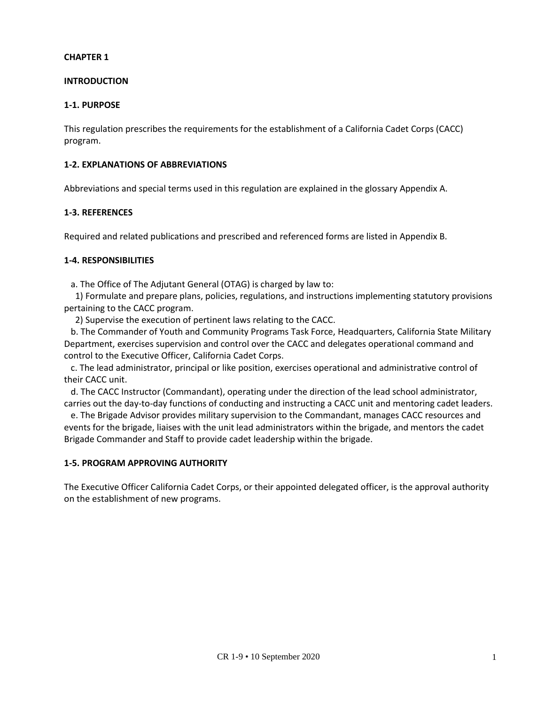#### **INTRODUCTION**

#### **1-1. PURPOSE**

This regulation prescribes the requirements for the establishment of a California Cadet Corps (CACC) program.

#### **1-2. EXPLANATIONS OF ABBREVIATIONS**

Abbreviations and special terms used in this regulation are explained in the glossary Appendix A.

#### **1-3. REFERENCES**

Required and related publications and prescribed and referenced forms are listed in Appendix B.

#### **1-4. RESPONSIBILITIES**

a. The Office of The Adjutant General (OTAG) is charged by law to:

1) Formulate and prepare plans, policies, regulations, and instructions implementing statutory provisions pertaining to the CACC program.

2) Supervise the execution of pertinent laws relating to the CACC.

b. The Commander of Youth and Community Programs Task Force, Headquarters, California State Military Department, exercises supervision and control over the CACC and delegates operational command and control to the Executive Officer, California Cadet Corps.

c. The lead administrator, principal or like position, exercises operational and administrative control of their CACC unit.

d. The CACC Instructor (Commandant), operating under the direction of the lead school administrator, carries out the day-to-day functions of conducting and instructing a CACC unit and mentoring cadet leaders.

e. The Brigade Advisor provides military supervision to the Commandant, manages CACC resources and events for the brigade, liaises with the unit lead administrators within the brigade, and mentors the cadet Brigade Commander and Staff to provide cadet leadership within the brigade.

#### **1-5. PROGRAM APPROVING AUTHORITY**

The Executive Officer California Cadet Corps, or their appointed delegated officer, is the approval authority on the establishment of new programs.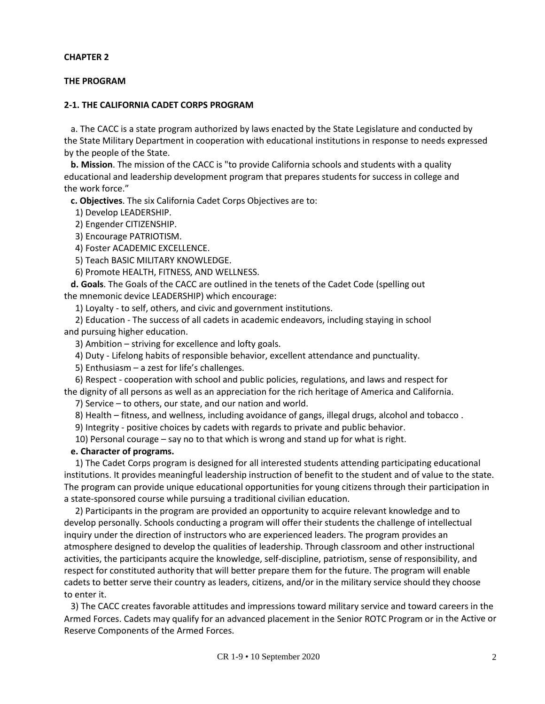#### **THE PROGRAM**

#### **2-1. THE CALIFORNIA CADET CORPS PROGRAM**

a. The CACC is a state program authorized by laws enacted by the State Legislature and conducted by the State Military Department in cooperation with educational institutions in response to needs expressed by the people of the State.

**b. Mission**. The mission of the CACC is "to provide California schools and students with a quality educational and leadership development program that prepares students for success in college and the work force."

**c. Objectives**. The six California Cadet Corps Objectives are to:

1) Develop LEADERSHIP.

2) Engender CITIZENSHIP.

3) Encourage PATRIOTISM.

4) Foster ACADEMIC EXCELLENCE.

5) Teach BASIC MILITARY KNOWLEDGE.

6) Promote HEALTH, FITNESS, AND WELLNESS.

**d. Goals**. The Goals of the CACC are outlined in the tenets of the Cadet Code (spelling out the mnemonic device LEADERSHIP) which encourage:

1) Loyalty - to self, others, and civic and government institutions.

2) Education - The success of all cadets in academic endeavors, including staying in school and pursuing higher education.

3) Ambition – striving for excellence and lofty goals.

4) Duty - Lifelong habits of responsible behavior, excellent attendance and punctuality.

5) Enthusiasm – a zest for life's challenges.

6) Respect - cooperation with school and public policies, regulations, and laws and respect for the dignity of all persons as well as an appreciation for the rich heritage of America and California.

7) Service – to others, our state, and our nation and world.

8) Health – fitness, and wellness, including avoidance of gangs, illegal drugs, alcohol and tobacco .

9) Integrity - positive choices by cadets with regards to private and public behavior.

10) Personal courage – say no to that which is wrong and stand up for what is right.

#### **e. Character of programs.**

1) The Cadet Corps program is designed for all interested students attending participating educational institutions. It provides meaningful leadership instruction of benefit to the student and of value to the state. The program can provide unique educational opportunities for young citizens through their participation in a state-sponsored course while pursuing a traditional civilian education.

2) Participants in the program are provided an opportunity to acquire relevant knowledge and to develop personally. Schools conducting a program will offer their students the challenge of intellectual inquiry under the direction of instructors who are experienced leaders. The program provides an atmosphere designed to develop the qualities of leadership. Through classroom and other instructional activities, the participants acquire the knowledge, self-discipline, patriotism, sense of responsibility, and respect for constituted authority that will better prepare them for the future. The program will enable cadets to better serve their country as leaders, citizens, and/or in the military service should they choose to enter it.

 3) The CACC creates favorable attitudes and impressions toward military service and toward careers in the Armed Forces. Cadets may qualify for an advanced placement in the Senior ROTC Program or in the Active or Reserve Components of the Armed Forces.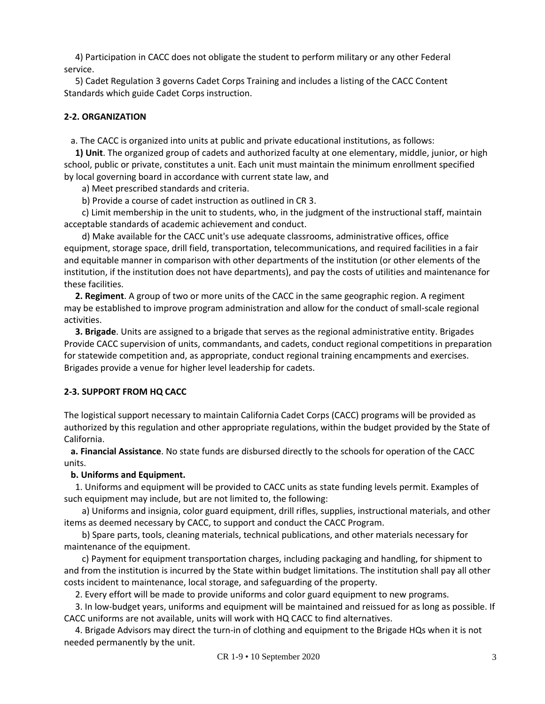4) Participation in CACC does not obligate the student to perform military or any other Federal service.

5) Cadet Regulation 3 governs Cadet Corps Training and includes a listing of the CACC Content Standards which guide Cadet Corps instruction.

# **2-2. ORGANIZATION**

a. The CACC is organized into units at public and private educational institutions, as follows:

**1) Unit**. The organized group of cadets and authorized faculty at one elementary, middle, junior, or high school, public or private, constitutes a unit. Each unit must maintain the minimum enrollment specified by local governing board in accordance with current state law, and

a) Meet prescribed standards and criteria.

b) Provide a course of cadet instruction as outlined in CR 3.

c) Limit membership in the unit to students, who, in the judgment of the instructional staff, maintain acceptable standards of academic achievement and conduct.

d) Make available for the CACC unit's use adequate classrooms, administrative offices, office equipment, storage space, drill field, transportation, telecommunications, and required facilities in a fair and equitable manner in comparison with other departments of the institution (or other elements of the institution, if the institution does not have departments), and pay the costs of utilities and maintenance for these facilities.

**2. Regiment**. A group of two or more units of the CACC in the same geographic region. A regiment may be established to improve program administration and allow for the conduct of small-scale regional activities.

**3. Brigade**. Units are assigned to a brigade that serves as the regional administrative entity. Brigades Provide CACC supervision of units, commandants, and cadets, conduct regional competitions in preparation for statewide competition and, as appropriate, conduct regional training encampments and exercises. Brigades provide a venue for higher level leadership for cadets.

# **2-3. SUPPORT FROM HQ CACC**

The logistical support necessary to maintain California Cadet Corps (CACC) programs will be provided as authorized by this regulation and other appropriate regulations, within the budget provided by the State of California.

**a. Financial Assistance**. No state funds are disbursed directly to the schools for operation of the CACC units.

# **b. Uniforms and Equipment.**

1. Uniforms and equipment will be provided to CACC units as state funding levels permit. Examples of such equipment may include, but are not limited to, the following:

a) Uniforms and insignia, color guard equipment, drill rifles, supplies, instructional materials, and other items as deemed necessary by CACC, to support and conduct the CACC Program.

b) Spare parts, tools, cleaning materials, technical publications, and other materials necessary for maintenance of the equipment.

c) Payment for equipment transportation charges, including packaging and handling, for shipment to and from the institution is incurred by the State within budget limitations. The institution shall pay all other costs incident to maintenance, local storage, and safeguarding of the property.

2. Every effort will be made to provide uniforms and color guard equipment to new programs.

3. In low-budget years, uniforms and equipment will be maintained and reissued for as long as possible. If CACC uniforms are not available, units will work with HQ CACC to find alternatives.

4. Brigade Advisors may direct the turn-in of clothing and equipment to the Brigade HQs when it is not needed permanently by the unit.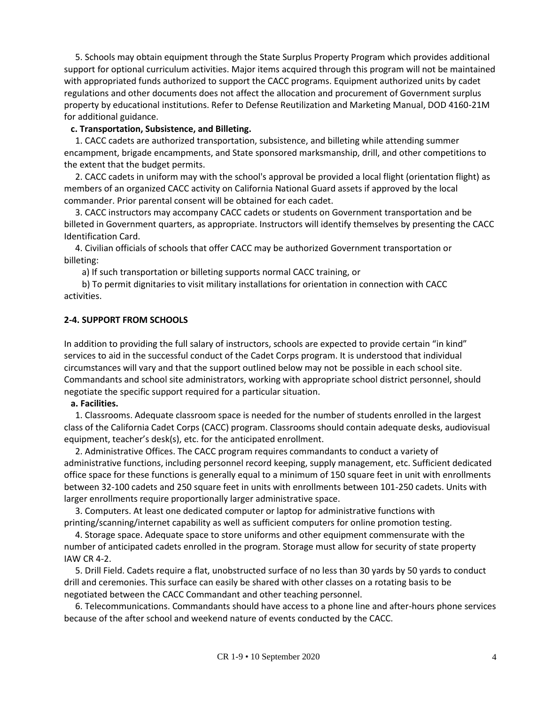5. Schools may obtain equipment through the State Surplus Property Program which provides additional support for optional curriculum activities. Major items acquired through this program will not be maintained with appropriated funds authorized to support the CACC programs. Equipment authorized units by cadet regulations and other documents does not affect the allocation and procurement of Government surplus property by educational institutions. Refer to Defense Reutilization and Marketing Manual, DOD 4160-21M for additional guidance.

#### **c. Transportation, Subsistence, and Billeting.**

1. CACC cadets are authorized transportation, subsistence, and billeting while attending summer encampment, brigade encampments, and State sponsored marksmanship, drill, and other competitions to the extent that the budget permits.

2. CACC cadets in uniform may with the school's approval be provided a local flight (orientation flight) as members of an organized CACC activity on California National Guard assets if approved by the local commander. Prior parental consent will be obtained for each cadet.

3. CACC instructors may accompany CACC cadets or students on Government transportation and be billeted in Government quarters, as appropriate. Instructors will identify themselves by presenting the CACC Identification Card.

4. Civilian officials of schools that offer CACC may be authorized Government transportation or billeting:

a) If such transportation or billeting supports normal CACC training, or

b) To permit dignitaries to visit military installations for orientation in connection with CACC activities.

# **2-4. SUPPORT FROM SCHOOLS**

In addition to providing the full salary of instructors, schools are expected to provide certain "in kind" services to aid in the successful conduct of the Cadet Corps program. It is understood that individual circumstances will vary and that the support outlined below may not be possible in each school site. Commandants and school site administrators, working with appropriate school district personnel, should negotiate the specific support required for a particular situation.

#### **a. Facilities.**

1. Classrooms. Adequate classroom space is needed for the number of students enrolled in the largest class of the California Cadet Corps (CACC) program. Classrooms should contain adequate desks, audiovisual equipment, teacher's desk(s), etc. for the anticipated enrollment.

2. Administrative Offices. The CACC program requires commandants to conduct a variety of administrative functions, including personnel record keeping, supply management, etc. Sufficient dedicated office space for these functions is generally equal to a minimum of 150 square feet in unit with enrollments between 32-100 cadets and 250 square feet in units with enrollments between 101-250 cadets. Units with larger enrollments require proportionally larger administrative space.

3. Computers. At least one dedicated computer or laptop for administrative functions with printing/scanning/internet capability as well as sufficient computers for online promotion testing.

4. Storage space. Adequate space to store uniforms and other equipment commensurate with the number of anticipated cadets enrolled in the program. Storage must allow for security of state property IAW CR 4-2.

5. Drill Field. Cadets require a flat, unobstructed surface of no less than 30 yards by 50 yards to conduct drill and ceremonies. This surface can easily be shared with other classes on a rotating basis to be negotiated between the CACC Commandant and other teaching personnel.

6. Telecommunications. Commandants should have access to a phone line and after-hours phone services because of the after school and weekend nature of events conducted by the CACC.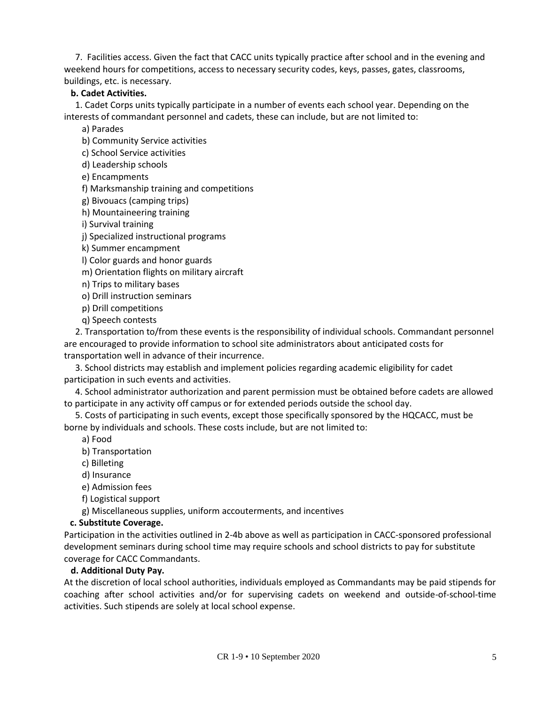7. Facilities access. Given the fact that CACC units typically practice after school and in the evening and weekend hours for competitions, access to necessary security codes, keys, passes, gates, classrooms, buildings, etc. is necessary.

#### **b. Cadet Activities.**

1. Cadet Corps units typically participate in a number of events each school year. Depending on the interests of commandant personnel and cadets, these can include, but are not limited to:

a) Parades

b) Community Service activities

c) School Service activities

d) Leadership schools

e) Encampments

f) Marksmanship training and competitions

g) Bivouacs (camping trips)

h) Mountaineering training

i) Survival training

j) Specialized instructional programs

k) Summer encampment

l) Color guards and honor guards

m) Orientation flights on military aircraft

n) Trips to military bases

o) Drill instruction seminars

p) Drill competitions

q) Speech contests

2. Transportation to/from these events is the responsibility of individual schools. Commandant personnel are encouraged to provide information to school site administrators about anticipated costs for transportation well in advance of their incurrence.

3. School districts may establish and implement policies regarding academic eligibility for cadet participation in such events and activities.

4. School administrator authorization and parent permission must be obtained before cadets are allowed to participate in any activity off campus or for extended periods outside the school day.

5. Costs of participating in such events, except those specifically sponsored by the HQCACC, must be borne by individuals and schools. These costs include, but are not limited to:

a) Food

b) Transportation

c) Billeting

d) Insurance

e) Admission fees

f) Logistical support

g) Miscellaneous supplies, uniform accouterments, and incentives

#### **c. Substitute Coverage.**

Participation in the activities outlined in 2-4b above as well as participation in CACC-sponsored professional development seminars during school time may require schools and school districts to pay for substitute coverage for CACC Commandants.

#### **d. Additional Duty Pay.**

At the discretion of local school authorities, individuals employed as Commandants may be paid stipends for coaching after school activities and/or for supervising cadets on weekend and outside-of-school-time activities. Such stipends are solely at local school expense.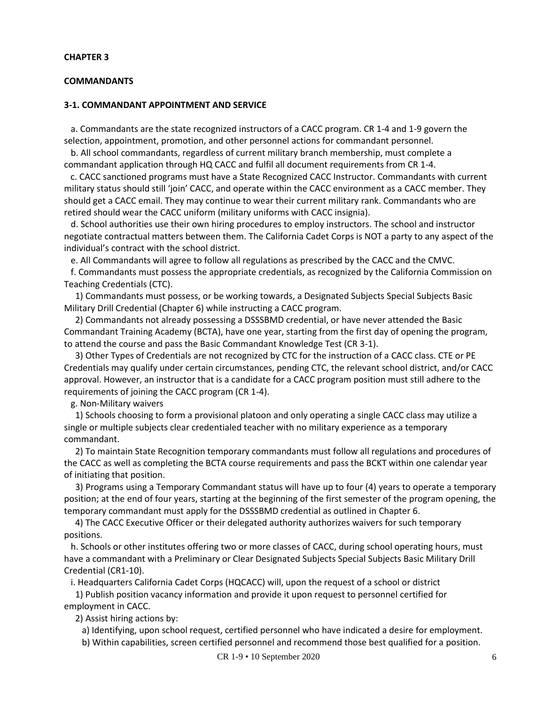#### **COMMANDANTS**

#### **3-1. COMMANDANT APPOINTMENT AND SERVICE**

a. Commandants are the state recognized instructors of a CACC program. CR 1-4 and 1-9 govern the selection, appointment, promotion, and other personnel actions for commandant personnel.

b. All school commandants, regardless of current military branch membership, must complete a commandant application through HQ CACC and fulfil all document requirements from CR 1-4.

c. CACC sanctioned programs must have a State Recognized CACC Instructor. Commandants with current military status should still 'join' CACC, and operate within the CACC environment as a CACC member. They should get a CACC email. They may continue to wear their current military rank. Commandants who are retired should wear the CACC uniform (military uniforms with CACC insignia).

d. School authorities use their own hiring procedures to employ instructors. The school and instructor negotiate contractual matters between them. The California Cadet Corps is NOT a party to any aspect of the individual's contract with the school district.

e. All Commandants will agree to follow all regulations as prescribed by the CACC and the CMVC.

f. Commandants must possess the appropriate credentials, as recognized by the California Commission on Teaching Credentials (CTC).

1) Commandants must possess, or be working towards, a Designated Subjects Special Subjects Basic Military Drill Credential (Chapter 6) while instructing a CACC program.

2) Commandants not already possessing a DSSSBMD credential, or have never attended the Basic Commandant Training Academy (BCTA), have one year, starting from the first day of opening the program, to attend the course and pass the Basic Commandant Knowledge Test (CR 3-1).

3) Other Types of Credentials are not recognized by CTC for the instruction of a CACC class. CTE or PE Credentials may qualify under certain circumstances, pending CTC, the relevant school district, and/or CACC approval. However, an instructor that is a candidate for a CACC program position must still adhere to the requirements of joining the CACC program (CR 1-4).

g. Non-Military waivers

1) Schools choosing to form a provisional platoon and only operating a single CACC class may utilize a single or multiple subjects clear credentialed teacher with no military experience as a temporary commandant.

2) To maintain State Recognition temporary commandants must follow all regulations and procedures of the CACC as well as completing the BCTA course requirements and pass the BCKT within one calendar year of initiating that position.

3) Programs using a Temporary Commandant status will have up to four (4) years to operate a temporary position; at the end of four years, starting at the beginning of the first semester of the program opening, the temporary commandant must apply for the DSSSBMD credential as outlined in Chapter 6.

4) The CACC Executive Officer or their delegated authority authorizes waivers for such temporary positions.

h. Schools or other institutes offering two or more classes of CACC, during school operating hours, must have a commandant with a Preliminary or Clear Designated Subjects Special Subjects Basic Military Drill Credential (CR1-10).

i. Headquarters California Cadet Corps (HQCACC) will, upon the request of a school or district

1) Publish position vacancy information and provide it upon request to personnel certified for employment in CACC.

2) Assist hiring actions by:

a) Identifying, upon school request, certified personnel who have indicated a desire for employment.

b) Within capabilities, screen certified personnel and recommend those best qualified for a position.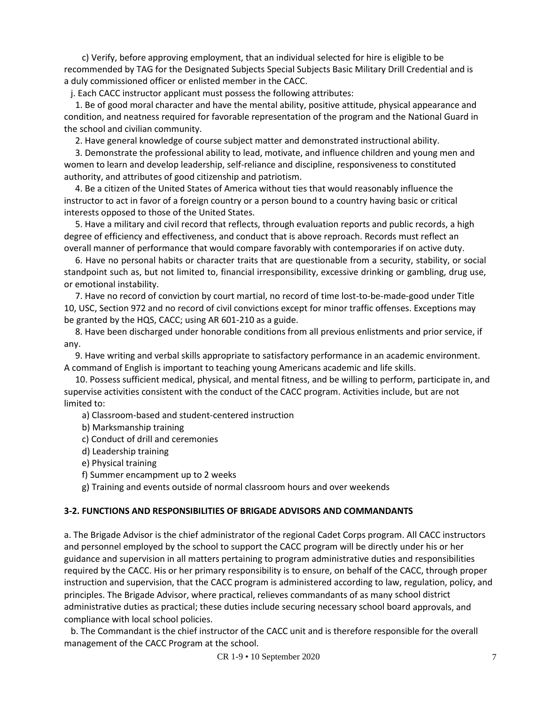c) Verify, before approving employment, that an individual selected for hire is eligible to be recommended by TAG for the Designated Subjects Special Subjects Basic Military Drill Credential and is a duly commissioned officer or enlisted member in the CACC.

j. Each CACC instructor applicant must possess the following attributes:

1. Be of good moral character and have the mental ability, positive attitude, physical appearance and condition, and neatness required for favorable representation of the program and the National Guard in the school and civilian community.

2. Have general knowledge of course subject matter and demonstrated instructional ability.

3. Demonstrate the professional ability to lead, motivate, and influence children and young men and women to learn and develop leadership, self-reliance and discipline, responsiveness to constituted authority, and attributes of good citizenship and patriotism.

4. Be a citizen of the United States of America without ties that would reasonably influence the instructor to act in favor of a foreign country or a person bound to a country having basic or critical interests opposed to those of the United States.

5. Have a military and civil record that reflects, through evaluation reports and public records, a high degree of efficiency and effectiveness, and conduct that is above reproach. Records must reflect an overall manner of performance that would compare favorably with contemporaries if on active duty.

6. Have no personal habits or character traits that are questionable from a security, stability, or social standpoint such as, but not limited to, financial irresponsibility, excessive drinking or gambling, drug use, or emotional instability.

7. Have no record of conviction by court martial, no record of time lost-to-be-made-good under Title 10, USC, Section 972 and no record of civil convictions except for minor traffic offenses. Exceptions may be granted by the HQS, CACC; using AR 601-210 as a guide.

8. Have been discharged under honorable conditions from all previous enlistments and prior service, if any.

9. Have writing and verbal skills appropriate to satisfactory performance in an academic environment. A command of English is important to teaching young Americans academic and life skills.

10. Possess sufficient medical, physical, and mental fitness, and be willing to perform, participate in, and supervise activities consistent with the conduct of the CACC program. Activities include, but are not limited to:

a) Classroom-based and student-centered instruction

b) Marksmanship training

- c) Conduct of drill and ceremonies
- d) Leadership training
- e) Physical training
- f) Summer encampment up to 2 weeks

g) Training and events outside of normal classroom hours and over weekends

#### **3-2. FUNCTIONS AND RESPONSIBILITIES OF BRIGADE ADVISORS AND COMMANDANTS**

a. The Brigade Advisor is the chief administrator of the regional Cadet Corps program. All CACC instructors and personnel employed by the school to support the CACC program will be directly under his or her guidance and supervision in all matters pertaining to program administrative duties and responsibilities required by the CACC. His or her primary responsibility is to ensure, on behalf of the CACC, through proper instruction and supervision, that the CACC program is administered according to law, regulation, policy, and principles. The Brigade Advisor, where practical, relieves commandants of as many school district administrative duties as practical; these duties include securing necessary school board approvals, and compliance with local school policies.

b. The Commandant is the chief instructor of the CACC unit and is therefore responsible for the overall management of the CACC Program at the school.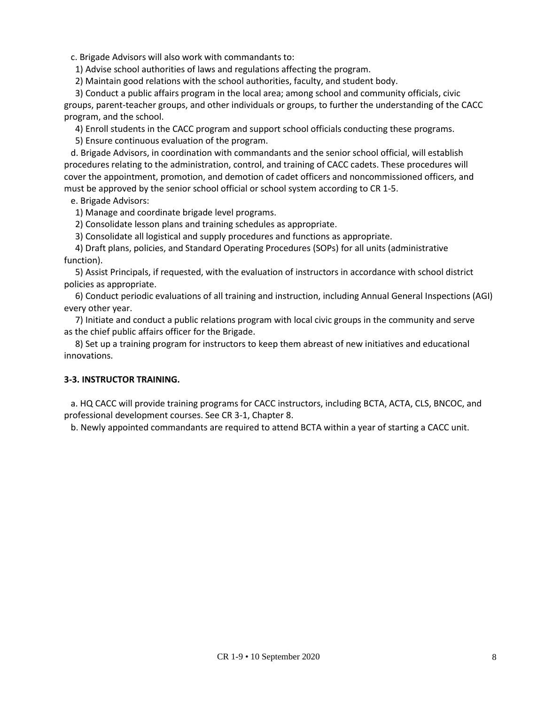c. Brigade Advisors will also work with commandants to:

1) Advise school authorities of laws and regulations affecting the program.

2) Maintain good relations with the school authorities, faculty, and student body.

3) Conduct a public affairs program in the local area; among school and community officials, civic groups, parent-teacher groups, and other individuals or groups, to further the understanding of the CACC program, and the school.

4) Enroll students in the CACC program and support school officials conducting these programs.

5) Ensure continuous evaluation of the program.

d. Brigade Advisors, in coordination with commandants and the senior school official, will establish procedures relating to the administration, control, and training of CACC cadets. These procedures will cover the appointment, promotion, and demotion of cadet officers and noncommissioned officers, and must be approved by the senior school official or school system according to CR 1-5.

e. Brigade Advisors:

1) Manage and coordinate brigade level programs.

2) Consolidate lesson plans and training schedules as appropriate.

3) Consolidate all logistical and supply procedures and functions as appropriate.

4) Draft plans, policies, and Standard Operating Procedures (SOPs) for all units (administrative function).

5) Assist Principals, if requested, with the evaluation of instructors in accordance with school district policies as appropriate.

6) Conduct periodic evaluations of all training and instruction, including Annual General Inspections (AGI) every other year.

7) Initiate and conduct a public relations program with local civic groups in the community and serve as the chief public affairs officer for the Brigade.

8) Set up a training program for instructors to keep them abreast of new initiatives and educational innovations.

#### **3-3. INSTRUCTOR TRAINING.**

a. HQ CACC will provide training programs for CACC instructors, including BCTA, ACTA, CLS, BNCOC, and professional development courses. See CR 3-1, Chapter 8.

b. Newly appointed commandants are required to attend BCTA within a year of starting a CACC unit.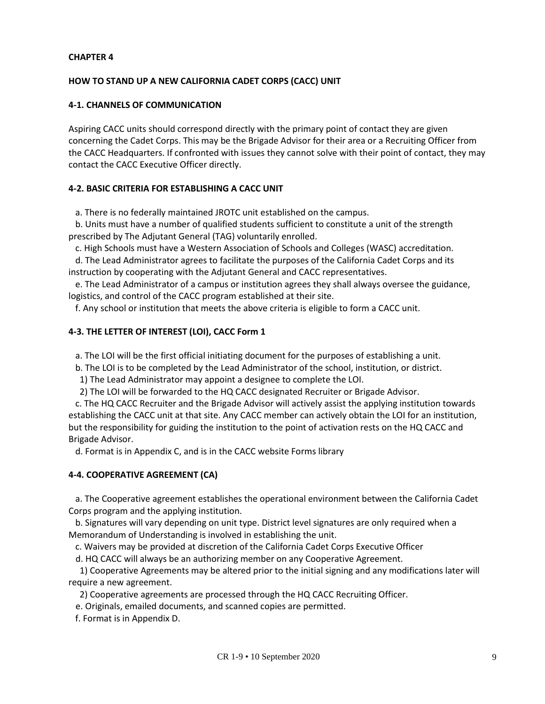#### **HOW TO STAND UP A NEW CALIFORNIA CADET CORPS (CACC) UNIT**

#### **4-1. CHANNELS OF COMMUNICATION**

Aspiring CACC units should correspond directly with the primary point of contact they are given concerning the Cadet Corps. This may be the Brigade Advisor for their area or a Recruiting Officer from the CACC Headquarters. If confronted with issues they cannot solve with their point of contact, they may contact the CACC Executive Officer directly.

#### **4-2. BASIC CRITERIA FOR ESTABLISHING A CACC UNIT**

a. There is no federally maintained JROTC unit established on the campus.

b. Units must have a number of qualified students sufficient to constitute a unit of the strength prescribed by The Adjutant General (TAG) voluntarily enrolled.

c. High Schools must have a Western Association of Schools and Colleges (WASC) accreditation.

d. The Lead Administrator agrees to facilitate the purposes of the California Cadet Corps and its instruction by cooperating with the Adjutant General and CACC representatives.

e. The Lead Administrator of a campus or institution agrees they shall always oversee the guidance, logistics, and control of the CACC program established at their site.

f. Any school or institution that meets the above criteria is eligible to form a CACC unit.

#### **4-3. THE LETTER OF INTEREST (LOI), CACC Form 1**

a. The LOI will be the first official initiating document for the purposes of establishing a unit.

b. The LOI is to be completed by the Lead Administrator of the school, institution, or district.

1) The Lead Administrator may appoint a designee to complete the LOI.

2) The LOI will be forwarded to the HQ CACC designated Recruiter or Brigade Advisor.

c. The HQ CACC Recruiter and the Brigade Advisor will actively assist the applying institution towards establishing the CACC unit at that site. Any CACC member can actively obtain the LOI for an institution, but the responsibility for guiding the institution to the point of activation rests on the HQ CACC and Brigade Advisor.

d. Format is in Appendix C, and is in the CACC website Forms library

#### **4-4. COOPERATIVE AGREEMENT (CA)**

a. The Cooperative agreement establishes the operational environment between the California Cadet Corps program and the applying institution.

b. Signatures will vary depending on unit type. District level signatures are only required when a Memorandum of Understanding is involved in establishing the unit.

c. Waivers may be provided at discretion of the California Cadet Corps Executive Officer

d. HQ CACC will always be an authorizing member on any Cooperative Agreement.

1) Cooperative Agreements may be altered prior to the initial signing and any modifications later will require a new agreement.

2) Cooperative agreements are processed through the HQ CACC Recruiting Officer.

e. Originals, emailed documents, and scanned copies are permitted.

f. Format is in Appendix D.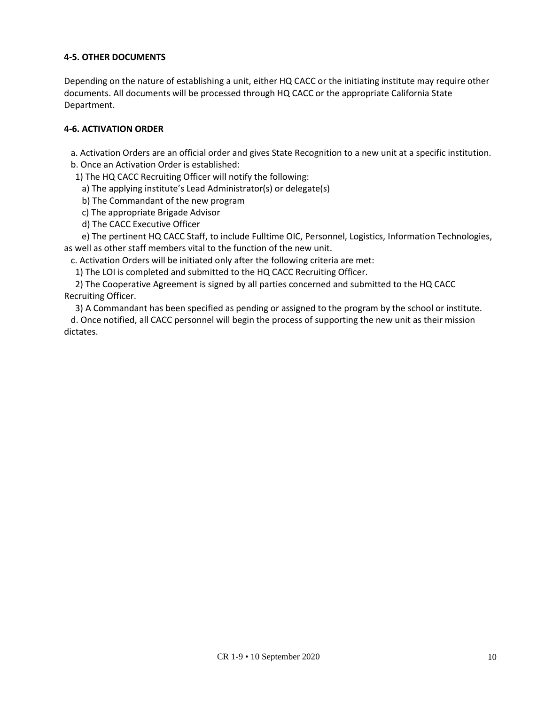# **4-5. OTHER DOCUMENTS**

Depending on the nature of establishing a unit, either HQ CACC or the initiating institute may require other documents. All documents will be processed through HQ CACC or the appropriate California State Department.

#### **4-6. ACTIVATION ORDER**

a. Activation Orders are an official order and gives State Recognition to a new unit at a specific institution.

b. Once an Activation Order is established:

1) The HQ CACC Recruiting Officer will notify the following:

a) The applying institute's Lead Administrator(s) or delegate(s)

b) The Commandant of the new program

c) The appropriate Brigade Advisor

d) The CACC Executive Officer

e) The pertinent HQ CACC Staff, to include Fulltime OIC, Personnel, Logistics, Information Technologies, as well as other staff members vital to the function of the new unit.

c. Activation Orders will be initiated only after the following criteria are met:

1) The LOI is completed and submitted to the HQ CACC Recruiting Officer.

2) The Cooperative Agreement is signed by all parties concerned and submitted to the HQ CACC Recruiting Officer.

3) A Commandant has been specified as pending or assigned to the program by the school or institute. d. Once notified, all CACC personnel will begin the process of supporting the new unit as their mission dictates.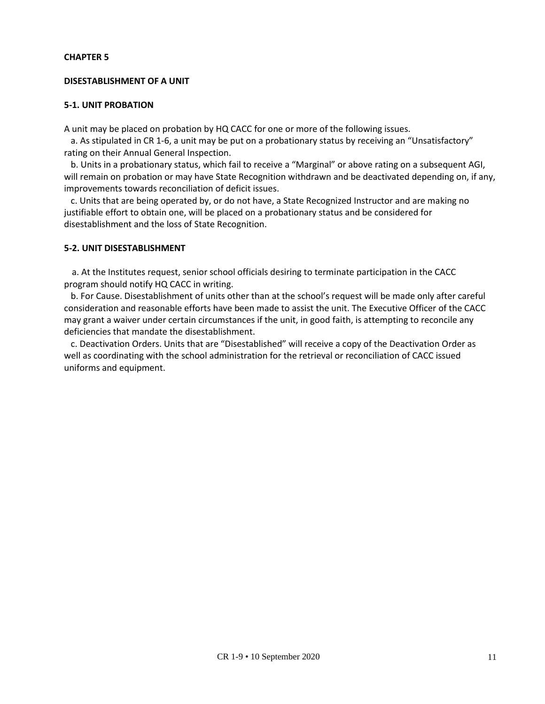#### **DISESTABLISHMENT OF A UNIT**

#### **5-1. UNIT PROBATION**

A unit may be placed on probation by HQ CACC for one or more of the following issues.

 a. As stipulated in CR 1-6, a unit may be put on a probationary status by receiving an "Unsatisfactory" rating on their Annual General Inspection.

 b. Units in a probationary status, which fail to receive a "Marginal" or above rating on a subsequent AGI, will remain on probation or may have State Recognition withdrawn and be deactivated depending on, if any, improvements towards reconciliation of deficit issues.

 c. Units that are being operated by, or do not have, a State Recognized Instructor and are making no justifiable effort to obtain one, will be placed on a probationary status and be considered for disestablishment and the loss of State Recognition.

#### **5-2. UNIT DISESTABLISHMENT**

a. At the Institutes request, senior school officials desiring to terminate participation in the CACC program should notify HQ CACC in writing.

b. For Cause. Disestablishment of units other than at the school's request will be made only after careful consideration and reasonable efforts have been made to assist the unit. The Executive Officer of the CACC may grant a waiver under certain circumstances if the unit, in good faith, is attempting to reconcile any deficiencies that mandate the disestablishment.

c. Deactivation Orders. Units that are "Disestablished" will receive a copy of the Deactivation Order as well as coordinating with the school administration for the retrieval or reconciliation of CACC issued uniforms and equipment.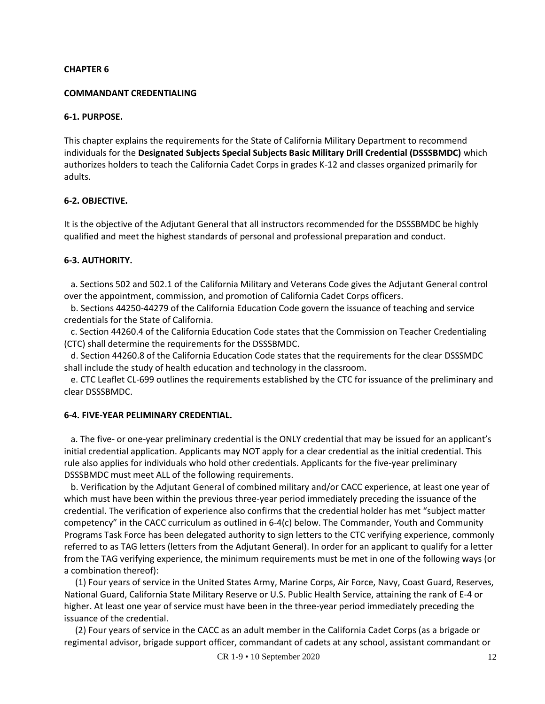#### **COMMANDANT CREDENTIALING**

#### **6-1. PURPOSE.**

This chapter explains the requirements for the State of California Military Department to recommend individuals for the **Designated Subjects Special Subjects Basic Military Drill Credential (DSSSBMDC)** which authorizes holders to teach the California Cadet Corps in grades K-12 and classes organized primarily for adults.

#### **6-2. OBJECTIVE.**

It is the objective of the Adjutant General that all instructors recommended for the DSSSBMDC be highly qualified and meet the highest standards of personal and professional preparation and conduct.

#### **6-3. AUTHORITY.**

 a. Sections 502 and 502.1 of the California Military and Veterans Code gives the Adjutant General control over the appointment, commission, and promotion of California Cadet Corps officers.

 b. Sections 44250-44279 of the California Education Code govern the issuance of teaching and service credentials for the State of California.

 c. Section 44260.4 of the California Education Code states that the Commission on Teacher Credentialing (CTC) shall determine the requirements for the DSSSBMDC.

 d. Section 44260.8 of the California Education Code states that the requirements for the clear DSSSMDC shall include the study of health education and technology in the classroom.

 e. CTC Leaflet CL-699 outlines the requirements established by the CTC for issuance of the preliminary and clear DSSSBMDC.

#### **6-4. FIVE-YEAR PELIMINARY CREDENTIAL.**

 a. The five- or one-year preliminary credential is the ONLY credential that may be issued for an applicant's initial credential application. Applicants may NOT apply for a clear credential as the initial credential. This rule also applies for individuals who hold other credentials. Applicants for the five-year preliminary DSSSBMDC must meet ALL of the following requirements.

 b. Verification by the Adjutant General of combined military and/or CACC experience, at least one year of which must have been within the previous three-year period immediately preceding the issuance of the credential. The verification of experience also confirms that the credential holder has met "subject matter competency" in the CACC curriculum as outlined in 6-4(c) below. The Commander, Youth and Community Programs Task Force has been delegated authority to sign letters to the CTC verifying experience, commonly referred to as TAG letters (letters from the Adjutant General). In order for an applicant to qualify for a letter from the TAG verifying experience, the minimum requirements must be met in one of the following ways (or a combination thereof):

 (1) Four years of service in the United States Army, Marine Corps, Air Force, Navy, Coast Guard, Reserves, National Guard, California State Military Reserve or U.S. Public Health Service, attaining the rank of E-4 or higher. At least one year of service must have been in the three-year period immediately preceding the issuance of the credential.

 (2) Four years of service in the CACC as an adult member in the California Cadet Corps (as a brigade or regimental advisor, brigade support officer, commandant of cadets at any school, assistant commandant or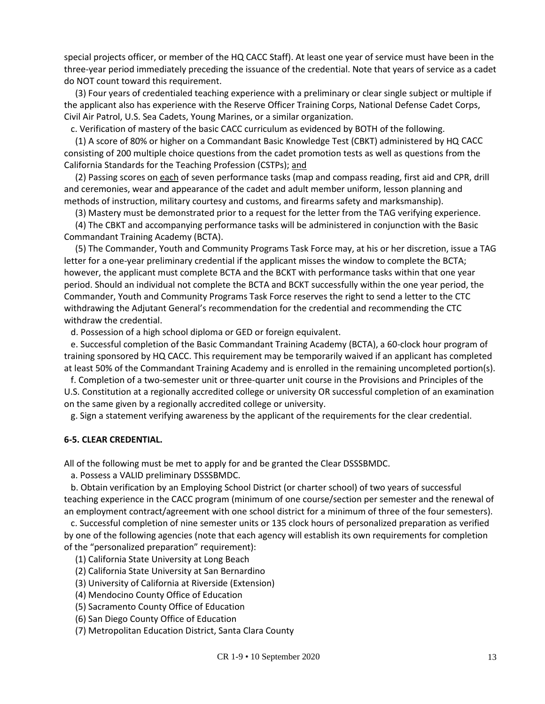special projects officer, or member of the HQ CACC Staff). At least one year of service must have been in the three-year period immediately preceding the issuance of the credential. Note that years of service as a cadet do NOT count toward this requirement.

 (3) Four years of credentialed teaching experience with a preliminary or clear single subject or multiple if the applicant also has experience with the Reserve Officer Training Corps, National Defense Cadet Corps, Civil Air Patrol, U.S. Sea Cadets, Young Marines, or a similar organization.

c. Verification of mastery of the basic CACC curriculum as evidenced by BOTH of the following.

 (1) A score of 80% or higher on a Commandant Basic Knowledge Test (CBKT) administered by HQ CACC consisting of 200 multiple choice questions from the cadet promotion tests as well as questions from the California Standards for the Teaching Profession (CSTPs); and

(2) Passing scores on each of seven performance tasks (map and compass reading, first aid and CPR, drill and ceremonies, wear and appearance of the cadet and adult member uniform, lesson planning and methods of instruction, military courtesy and customs, and firearms safety and marksmanship).

(3) Mastery must be demonstrated prior to a request for the letter from the TAG verifying experience.

 (4) The CBKT and accompanying performance tasks will be administered in conjunction with the Basic Commandant Training Academy (BCTA).

 (5) The Commander, Youth and Community Programs Task Force may, at his or her discretion, issue a TAG letter for a one-year preliminary credential if the applicant misses the window to complete the BCTA; however, the applicant must complete BCTA and the BCKT with performance tasks within that one year period. Should an individual not complete the BCTA and BCKT successfully within the one year period, the Commander, Youth and Community Programs Task Force reserves the right to send a letter to the CTC withdrawing the Adjutant General's recommendation for the credential and recommending the CTC withdraw the credential.

d. Possession of a high school diploma or GED or foreign equivalent.

 e. Successful completion of the Basic Commandant Training Academy (BCTA), a 60-clock hour program of training sponsored by HQ CACC. This requirement may be temporarily waived if an applicant has completed at least 50% of the Commandant Training Academy and is enrolled in the remaining uncompleted portion(s).

 f. Completion of a two-semester unit or three-quarter unit course in the Provisions and Principles of the U.S. Constitution at a regionally accredited college or university OR successful completion of an examination on the same given by a regionally accredited college or university.

g. Sign a statement verifying awareness by the applicant of the requirements for the clear credential.

#### **6-5. CLEAR CREDENTIAL.**

All of the following must be met to apply for and be granted the Clear DSSSBMDC.

a. Possess a VALID preliminary DSSSBMDC.

 b. Obtain verification by an Employing School District (or charter school) of two years of successful teaching experience in the CACC program (minimum of one course/section per semester and the renewal of an employment contract/agreement with one school district for a minimum of three of the four semesters).

 c. Successful completion of nine semester units or 135 clock hours of personalized preparation as verified by one of the following agencies (note that each agency will establish its own requirements for completion of the "personalized preparation" requirement):

(1) California State University at Long Beach

- (2) California State University at San Bernardino
- (3) University of California at Riverside (Extension)
- (4) Mendocino County Office of Education
- (5) Sacramento County Office of Education
- (6) San Diego County Office of Education

(7) Metropolitan Education District, Santa Clara County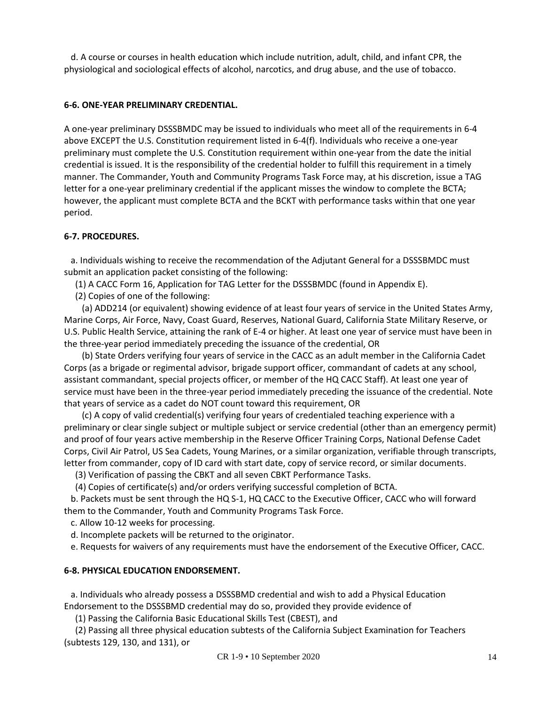d. A course or courses in health education which include nutrition, adult, child, and infant CPR, the physiological and sociological effects of alcohol, narcotics, and drug abuse, and the use of tobacco.

#### **6-6. ONE-YEAR PRELIMINARY CREDENTIAL.**

A one-year preliminary DSSSBMDC may be issued to individuals who meet all of the requirements in 6-4 above EXCEPT the U.S. Constitution requirement listed in 6-4(f). Individuals who receive a one-year preliminary must complete the U.S. Constitution requirement within one-year from the date the initial credential is issued. It is the responsibility of the credential holder to fulfill this requirement in a timely manner. The Commander, Youth and Community Programs Task Force may, at his discretion, issue a TAG letter for a one-year preliminary credential if the applicant misses the window to complete the BCTA; however, the applicant must complete BCTA and the BCKT with performance tasks within that one year period.

#### **6-7. PROCEDURES.**

 a. Individuals wishing to receive the recommendation of the Adjutant General for a DSSSBMDC must submit an application packet consisting of the following:

(1) A CACC Form 16, Application for TAG Letter for the DSSSBMDC (found in Appendix E).

(2) Copies of one of the following:

 (a) ADD214 (or equivalent) showing evidence of at least four years of service in the United States Army, Marine Corps, Air Force, Navy, Coast Guard, Reserves, National Guard, California State Military Reserve, or U.S. Public Health Service, attaining the rank of E-4 or higher. At least one year of service must have been in the three-year period immediately preceding the issuance of the credential, OR

 (b) State Orders verifying four years of service in the CACC as an adult member in the California Cadet Corps (as a brigade or regimental advisor, brigade support officer, commandant of cadets at any school, assistant commandant, special projects officer, or member of the HQ CACC Staff). At least one year of service must have been in the three-year period immediately preceding the issuance of the credential. Note that years of service as a cadet do NOT count toward this requirement, OR

 (c) A copy of valid credential(s) verifying four years of credentialed teaching experience with a preliminary or clear single subject or multiple subject or service credential (other than an emergency permit) and proof of four years active membership in the Reserve Officer Training Corps, National Defense Cadet Corps, Civil Air Patrol, US Sea Cadets, Young Marines, or a similar organization, verifiable through transcripts, letter from commander, copy of ID card with start date, copy of service record, or similar documents.

(3) Verification of passing the CBKT and all seven CBKT Performance Tasks.

(4) Copies of certificate(s) and/or orders verifying successful completion of BCTA.

 b. Packets must be sent through the HQ S-1, HQ CACC to the Executive Officer, CACC who will forward them to the Commander, Youth and Community Programs Task Force.

c. Allow 10-12 weeks for processing.

d. Incomplete packets will be returned to the originator.

e. Requests for waivers of any requirements must have the endorsement of the Executive Officer, CACC.

# **6-8. PHYSICAL EDUCATION ENDORSEMENT.**

 a. Individuals who already possess a DSSSBMD credential and wish to add a Physical Education Endorsement to the DSSSBMD credential may do so, provided they provide evidence of

(1) Passing the California Basic Educational Skills Test (CBEST), and

 (2) Passing all three physical education subtests of the California Subject Examination for Teachers (subtests 129, 130, and 131), or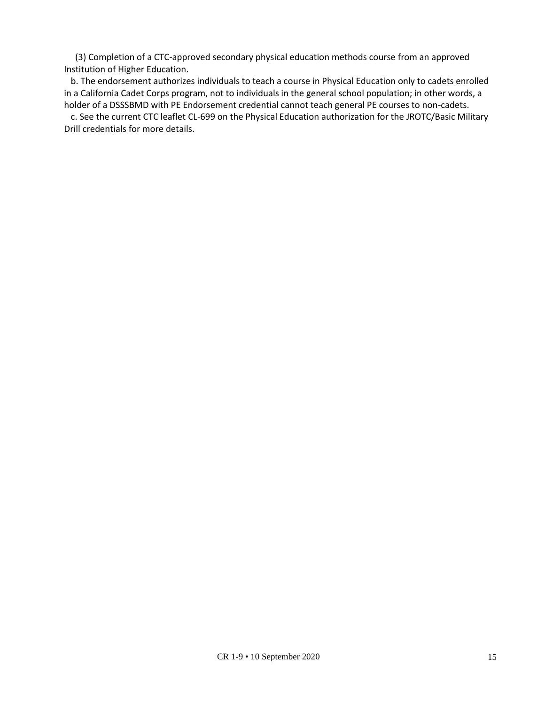(3) Completion of a CTC-approved secondary physical education methods course from an approved Institution of Higher Education.

b. The endorsement authorizes individuals to teach a course in Physical Education only to cadets enrolled in a California Cadet Corps program, not to individuals in the general school population; in other words, a holder of a DSSSBMD with PE Endorsement credential cannot teach general PE courses to non-cadets.

 c. See the current CTC leaflet CL-699 on the Physical Education authorization for the JROTC/Basic Military Drill credentials for more details.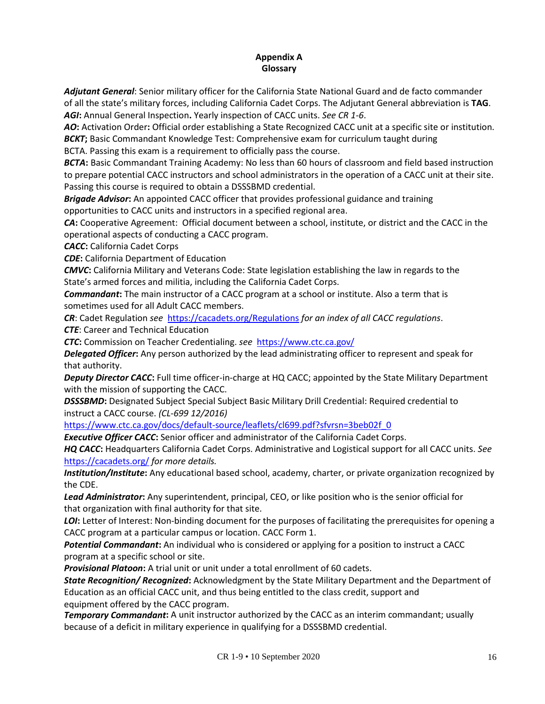#### **Appendix A Glossary**

*Adjutant General*: Senior military officer for the California State National Guard and de facto commander of all the state's military forces, including California Cadet Corps. The Adjutant General abbreviation is **TAG**. *AGI***:** Annual General Inspection**.** Yearly inspection of CACC units. *See CR 1-6*.

AO: Activation Order: Official order establishing a State Recognized CACC unit at a specific site or institution. **BCKT**; Basic Commandant Knowledge Test: Comprehensive exam for curriculum taught during

BCTA. Passing this exam is a requirement to officially pass the course.

**BCTA:** Basic Commandant Training Academy: No less than 60 hours of classroom and field based instruction to prepare potential CACC instructors and school administrators in the operation of a CACC unit at their site. Passing this course is required to obtain a DSSSBMD credential.

*Brigade Advisor***:** An appointed CACC officer that provides professional guidance and training opportunities to CACC units and instructors in a specified regional area.

*CA***:** Cooperative Agreement: Official docu[ment between a school, institute,](https://cacadets.org/Regulations) or district and the CACC in the operational aspects of conducting a CACC program.

*CACC***:** California Cadet Corps

*CDE***:** California Department of Education

*CMVC***:** California Military and Veterans Code: State legislation establishing the law in regards to the State's armed forces and militia, including the California Cadet Corps.

*Commandant***:** The main instructor of a CACC program at a school or institute. Also a term that is sometimes used for all Adult CACC members.

*CR*: Cadet Regulation *see* https://cacadets.org/Regulations *for an index of all CACC regulations*.

*CTE*: Career an[d Technical Education](https://www.ctc.ca.gov/docs/default-source/leaflets/cl699.pdf?sfvrsn=3beb02f_0)

*CTC***:** Commission on Teacher Credentialing. *see* https:[//www.ctc.ca.gov/](http://www.ctc.ca.gov/)

*Delegated Officer***:** Any person authorized by the lead administrating officer to represent and speak for that authority.

*Deputy Director CACC***:** Full time officer-in-charge at HQ CACC; appointed by the State Military Department with the mission of supporting the CACC.

**DSSSBMD:** Designated Subject Special Subject Basic Military Drill Credential: Required credential to instruct a CACC course. *(CL-699 12/2016)*

https:[//www.ctc.ca.gov/docs/default-source/leaflets/cl699.pdf?](http://www.ctc.ca.gov/docs/default-source/leaflets/cl699.pdf)sfvrsn=3beb02f\_0

*Executive Officer CACC***:** Senior officer and administrator of the California Cadet Corps.

*HQ CACC***:** Headquarters California Cadet Corps. Administrative and Logistical support for all CACC units. *See* https://cacadets.org/ *for more details.*

*Institution/Institute***:** Any educational based school, academy, charter, or private organization recognized by the CDE.

*Lead Administrator***:** Any superintendent, principal, CEO, or like position who is the senior official for that organization with final authority for that site.

**LOI**: Letter of Interest: Non-binding document for the purposes of facilitating the prerequisites for opening a CACC program at a particular campus or location. CACC Form 1.

*Potential Commandant***:** An individual who is considered or applying for a position to instruct a CACC program at a specific school or site.

**Provisional Platoon:** A trial unit or unit under a total enrollment of 60 cadets.

*State Recognition/ Recognized***:** Acknowledgment by the State Military Department and the Department of Education as an official CACC unit, and thus being entitled to the class credit, support and equipment offered by the CACC program.

**Temporary Commandant:** A unit instructor authorized by the CACC as an interim commandant; usually because of a deficit in military experience in qualifying for a DSSSBMD credential.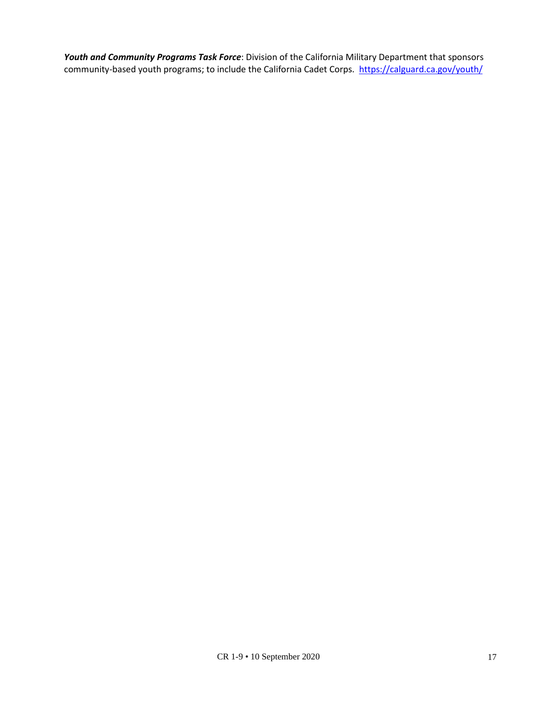*Youth and Community Programs Task Force*: Division of the California Military Department that sponsors community-based youth programs; to include the California Cadet Corps. https://calguard.ca.gov/youth/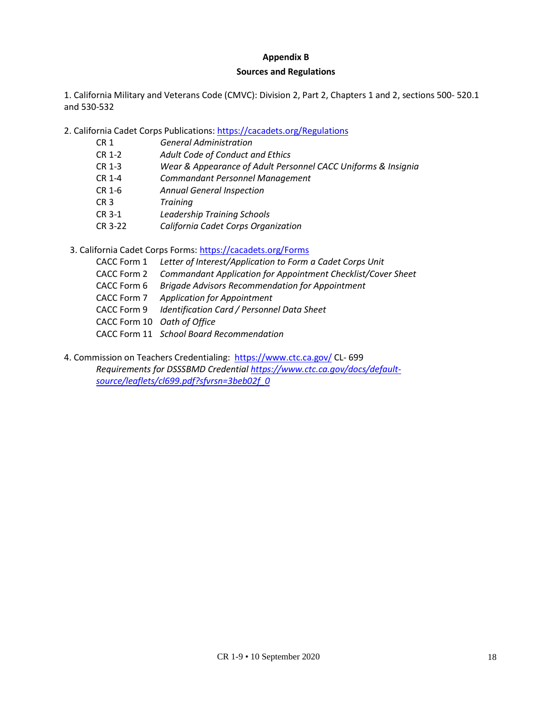#### **Appendix B**

#### **Sources and Reg[ulations](https://www.ctc.ca.gov/)**

1. California Military and Veterans Code (CMVC): Division 2, Part [2, Chapters 1](https://www.ctc.ca.gov/docs/default-source/leaflets/cl699.pdf?sfvrsn=3beb02f_0) and 2, sections 500- 520.1 and 530-532

2. California Cadet Corps Publications: https://cacadets.org/Regulations

- CR 1 *General Administration*
- CR 1-2 *Adult Code of Conduct and Ethics*
- CR 1-3 *Wear & Appearance of Adult Personnel CACC Uniforms & Insignia*
- CR 1-4 *Commandant Personnel Management*
- CR 1-6 *Annual General Inspection*
- CR 3 *Training*
- CR 3-1 *Leadership Training Schools*
- CR 3-22 *California Cadet Corps Organization*
- 3. California Cadet Corps Forms: https://cacadets.org/Forms
	- CACC Form 1 *Letter of Interest/Application to Form a Cadet Corps Unit*
	- CACC Form 2 *Commandant Application for Appointment Checklist/Cover Sheet*
	- CACC Form 6 *Brigade Advisors Recommendation for Appointment*
	- CACC Form 7 *Application for Appointment*
	- CACC Form 9 *Identification Card / Personnel Data Sheet*
	- CACC Form 10 *Oath of Office*
	- CACC Form 11 *School Board Recommendation*
- 4. Commission on Teachers Credentialing: https:[//www.ctc.ca.gov/](http://www.ctc.ca.gov/) CL- 699 *Requirements for DSSSBMD Credential https:[//www.ctc.ca.gov/docs/default](http://www.ctc.ca.gov/docs/default-source/leaflets/cl699.pdf)[source/leaflets/cl699.pdf?](http://www.ctc.ca.gov/docs/default-source/leaflets/cl699.pdf)sfvrsn=3beb02f\_0*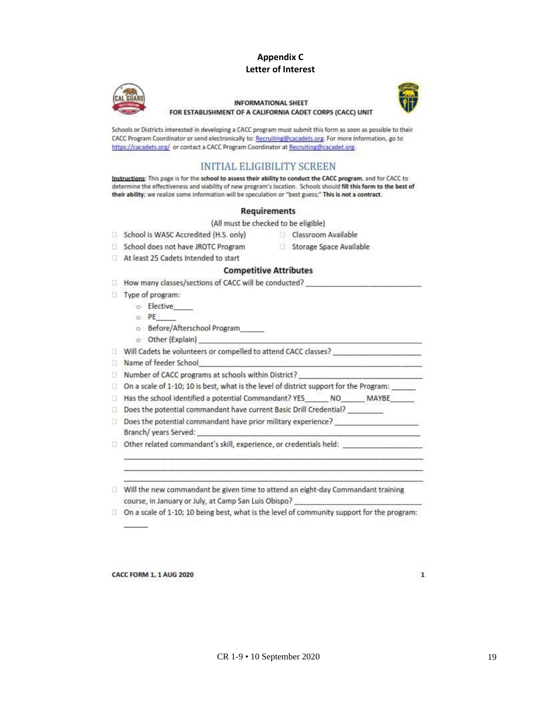#### **Appendix C Letter of Interest**



#### **INFORMATIONAL SHEET** FOR ESTABLISHMENT OF A CALIFORNIA CADET CORPS (CACC) UNIT



Schools or Districts interested in developing a CACC program must submit this form as soon as possible to their CACC Program Coordinator or send electronically to: Recruiting@cacadets.org. For more information, go to https://cacadets.org/ or contact a CACC Program Coordinator at Recruiting@cacadet.org.

# **INITIAL ELIGIBILITY SCREEN**

Instructions: This page is for the school to assess their ability to conduct the CACC program, and for CACC to determine the effectiveness and viability of new program's location. Schools should fill this form to the best of their ability; we realize some information will be speculation or "best guess;" This is not a contract.

#### **Requirements**

(All must be checked to be eligible)

- School is WASC Accredited (H.S. only)
- Classroom Available
- School does not have JROTC Program
- Storage Space Available
- At least 25 Cadets Intended to start

#### **Competitive Attributes**

How many classes/sections of CACC will be conducted? Type of program: o Elective  $O$  PE o Before/Afterschool Program o Other (Explain) Will Cadets be volunteers or compelled to attend CACC classes? \_\_\_\_\_\_\_\_\_\_\_\_\_\_\_\_\_\_ Name of feeder School □ Number of CACC programs at schools within District? □ On a scale of 1-10; 10 is best, what is the level of district support for the Program: \_\_\_\_\_ Has the school identified a potential Commandant? YES NO MAYBE Does the potential commandant have current Basic Drill Credential? \_\_\_\_\_\_\_\_  $\Box$  Does the potential commandant have prior military experience? Branch/ years Served: Other related commandant's skill, experience, or credentials held:

Will the new commandant be given time to attend an eight-day Commandant training course, in January or July, at Camp San Luis Obispo?

□ On a scale of 1-10; 10 being best, what is the level of community support for the program:

**CACC FORM 1, 1 AUG 2020**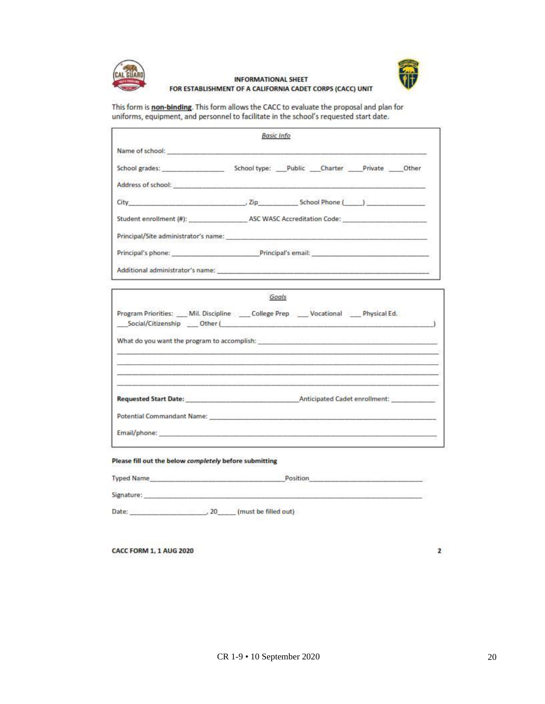



#### **INFORMATIONAL SHEET** FOR ESTABLISHMENT OF A CALIFORNIA CADET CORPS (CACC) UNIT

This form is non-binding. This form allows the CACC to evaluate the proposal and plan for uniforms, equipment, and personnel to facilitate in the school's requested start date.

|                                                                                                                                                                                                                                | <b>Basic Info</b> |  |  |
|--------------------------------------------------------------------------------------------------------------------------------------------------------------------------------------------------------------------------------|-------------------|--|--|
| Name of school:                                                                                                                                                                                                                |                   |  |  |
|                                                                                                                                                                                                                                |                   |  |  |
|                                                                                                                                                                                                                                |                   |  |  |
| City (and City of City of City of City of City of City of City of City of City of City of City of City of City of City of City of City of City of City of City of City of City of City of City of City of City of City of City |                   |  |  |
| Student enrollment (#): ASC WASC Accreditation Code:                                                                                                                                                                           |                   |  |  |
| Principal/Site administrator's name:                                                                                                                                                                                           |                   |  |  |
| Principal's phone: Principal's email:                                                                                                                                                                                          |                   |  |  |
| Additional administrator's name: experience and a series of the contract of the contract of the contract of the contract of the contract of the contract of the contract of the contract of the contract of the contract of th |                   |  |  |

|                                                                                                                                                                                                                                | Goals |  |  |
|--------------------------------------------------------------------------------------------------------------------------------------------------------------------------------------------------------------------------------|-------|--|--|
| Program Priorities: Mil. Discipline College Prep __ Vocational __ Physical Ed.<br>Social/Citizenship Other (2002) 2012 12:30 12:30 12:30 12:30 12:30 12:30 12:30 12:30 12:30 12:30 12:30 12:30 1                               |       |  |  |
| What do you want the program to accomplish: when the control of the control of the control of the control of the control of the control of the control of the control of the control of the control of the control of the cont |       |  |  |
|                                                                                                                                                                                                                                |       |  |  |
| Requested Start Date: Noticipated Cadet enrollment:                                                                                                                                                                            |       |  |  |
| Potential Commandant Name: Name: Name: Name of Name of Name of Name of Name of Name of Name of Name of Name of Name of Name of Name of Name of Name of Name of Name of Name of Name of Name of Name of Name of Name of Name of |       |  |  |
| Email/phone:                                                                                                                                                                                                                   |       |  |  |

Please fill out the below completely before submitting

| <b>Typed Name</b> | Position |  |
|-------------------|----------|--|
|                   |          |  |

Date: 20 (must be filled out)

**CACC FORM 1, 1 AUG 2020** 

2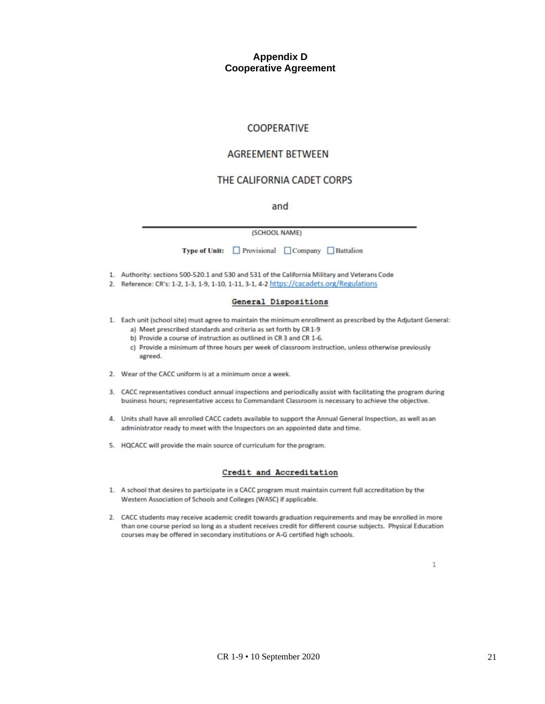#### **Appendix D Cooperative Agreement**

#### **COOPERATIVE**

#### **AGREEMENT BETWEEN**

#### THE CALIFORNIA CADET CORPS

and

#### (SCHOOL NAME)

| <b>Type of Unit:</b> | Provisional | $\Box$ Company | Battalion |
|----------------------|-------------|----------------|-----------|
|----------------------|-------------|----------------|-----------|

- 1. Authority: sections 500-520.1 and 530 and 531 of the California Military and Veterans Code
- 2. Reference: CR's: 1-2, 1-3, 1-9, 1-10, 1-11, 3-1, 4-2 https://cacadets.org/Regulations

#### **General Dispositions**

- 1. Each unit (school site) must agree to maintain the minimum enrollment as prescribed by the Adjutant General: a) Meet prescribed standards and criteria as set forth by CR 1-9
	- b) Provide a course of instruction as outlined in CR 3 and CR 1-6.
	- c) Provide a minimum of three hours per week of classroom instruction, unless otherwise previously agreed.
- 2. Wear of the CACC uniform is at a minimum once a week.
- 3. CACC representatives conduct annual inspections and periodically assist with facilitating the program during business hours; representative access to Commandant Classroom is necessary to achieve the objective.
- 4. Units shall have all enrolled CACC cadets available to support the Annual General Inspection, as well as an administrator ready to meet with the Inspectors on an appointed date and time.
- 5. HQCACC will provide the main source of curriculum for the program.

#### Credit and Accreditation

- 1. A school that desires to participate in a CACC program must maintain current full accreditation by the Western Association of Schools and Colleges (WASC) if applicable.
- 2. CACC students may receive academic credit towards graduation requirements and may be enrolled in more than one course period so long as a student receives credit for different course subjects. Physical Education courses may be offered in secondary institutions or A-G certified high schools.

1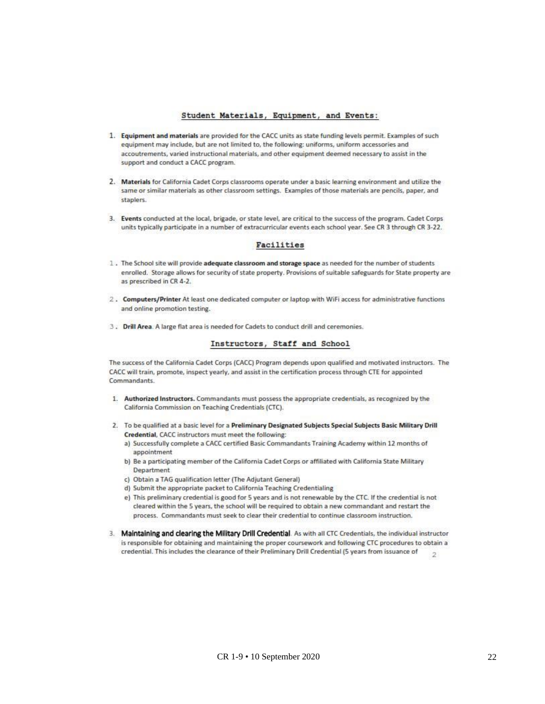#### Student Materials, Equipment, and Events:

- 1. Equipment and materials are provided for the CACC units as state funding levels permit. Examples of such equipment may include, but are not limited to, the following: uniforms, uniform accessories and accoutrements, varied instructional materials, and other equipment deemed necessary to assist in the support and conduct a CACC program.
- 2. Materials for California Cadet Corps classrooms operate under a basic learning environment and utilize the same or similar materials as other classroom settings. Examples of those materials are pencils, paper, and staplers.
- 3. Events conducted at the local, brigade, or state level, are critical to the success of the program. Cadet Corps units typically participate in a number of extracurricular events each school year. See CR 3 through CR 3-22.

#### Facilities

- 1. The School site will provide adequate classroom and storage space as needed for the number of students enrolled. Storage allows for security of state property. Provisions of suitable safeguards for State property are as prescribed in CR 4-2.
- 2. Computers/Printer At least one dedicated computer or laptop with WiFi access for administrative functions and online promotion testing.
- 3. Drill Area. A large flat area is needed for Cadets to conduct drill and ceremonies.

#### Instructors, Staff and School

The success of the California Cadet Corps (CACC) Program depends upon qualified and motivated instructors. The CACC will train, promote, inspect yearly, and assist in the certification process through CTE for appointed Commandants.

- 1. Authorized Instructors. Commandants must possess the appropriate credentials, as recognized by the California Commission on Teaching Credentials (CTC).
- 2. To be qualified at a basic level for a Preliminary Designated Subjects Special Subjects Basic Military Drill Credential, CACC instructors must meet the following:
	- a) Successfully complete a CACC certified Basic Commandants Training Academy within 12 months of appointment
	- b) Be a participating member of the California Cadet Corps or affiliated with California State Military Department
	- c) Obtain a TAG qualification letter (The Adjutant General)
	- d) Submit the appropriate packet to California Teaching Credentialing
	- e) This preliminary credential is good for 5 years and is not renewable by the CTC. If the credential is not cleared within the 5 years, the school will be required to obtain a new commandant and restart the process. Commandants must seek to clear their credential to continue classroom instruction.
- 3. Maintaining and clearing the Military Drill Credential. As with all CTC Credentials, the individual instructor is responsible for obtaining and maintaining the proper coursework and following CTC procedures to obtain a credential. This includes the clearance of their Preliminary Drill Credential (5 years from issuance of  $\overline{2}$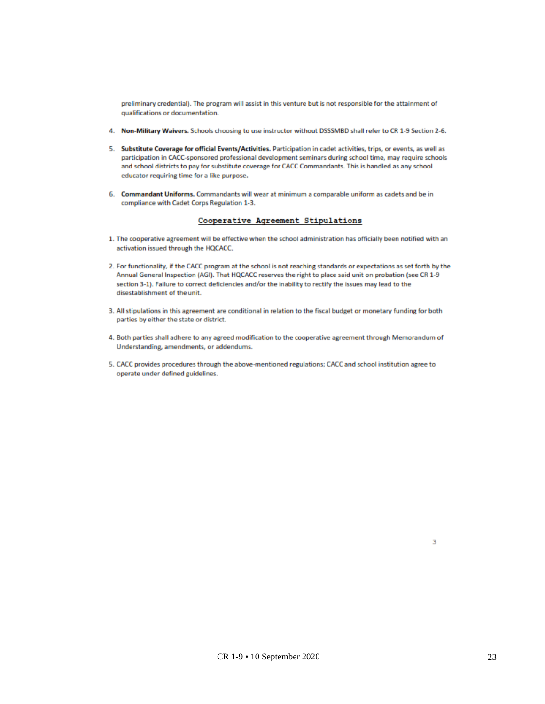preliminary credential). The program will assist in this venture but is not responsible for the attainment of qualifications or documentation.

- 4. Non-Military Waivers. Schools choosing to use instructor without DSSSMBD shall refer to CR 1-9 Section 2-6.
- 5. Substitute Coverage for official Events/Activities. Participation in cadet activities, trips, or events, as well as participation in CACC-sponsored professional development seminars during school time, may require schools and school districts to pay for substitute coverage for CACC Commandants. This is handled as any school educator requiring time for a like purpose.
- 6. Commandant Uniforms. Commandants will wear at minimum a comparable uniform as cadets and be in compliance with Cadet Corps Regulation 1-3.

#### Cooperative Agreement Stipulations

- 1. The cooperative agreement will be effective when the school administration has officially been notified with an activation issued through the HQCACC.
- 2. For functionality, if the CACC program at the school is not reaching standards or expectations as set forth by the Annual General Inspection (AGI). That HQCACC reserves the right to place said unit on probation (see CR 1-9 section 3-1). Failure to correct deficiencies and/or the inability to rectify the issues may lead to the disestablishment of the unit.
- 3. All stipulations in this agreement are conditional in relation to the fiscal budget or monetary funding for both parties by either the state or district.
- 4. Both parties shall adhere to any agreed modification to the cooperative agreement through Memorandum of Understanding, amendments, or addendums.
- 5. CACC provides procedures through the above-mentioned regulations; CACC and school institution agree to operate under defined guidelines.

3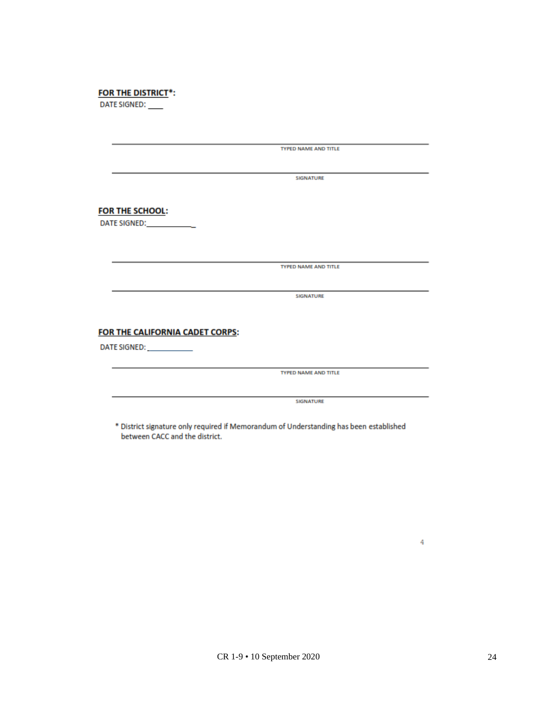| <b>FOR THE DISTRICT*:</b> |  |  |
|---------------------------|--|--|

DATE SIGNED:

|                                 | <b>TYPED NAME AND TITLE</b> |  |
|---------------------------------|-----------------------------|--|
|                                 |                             |  |
|                                 | <b>SIGNATURE</b>            |  |
|                                 |                             |  |
| <b>FOR THE SCHOOL:</b>          |                             |  |
| DATE SIGNED: ___________        |                             |  |
|                                 |                             |  |
|                                 |                             |  |
|                                 | <b>TYPED NAME AND TITLE</b> |  |
|                                 |                             |  |
|                                 | <b>SIGNATURE</b>            |  |
|                                 |                             |  |
| FOR THE CALIFORNIA CADET CORPS: |                             |  |
| DATE SIGNED: <b>WEBSINE</b>     |                             |  |
|                                 |                             |  |
|                                 | <b>TYPED NAME AND TITLE</b> |  |
|                                 |                             |  |
|                                 |                             |  |

bistrict signature only required<br>between CACC and the district.

 $\overline{4}$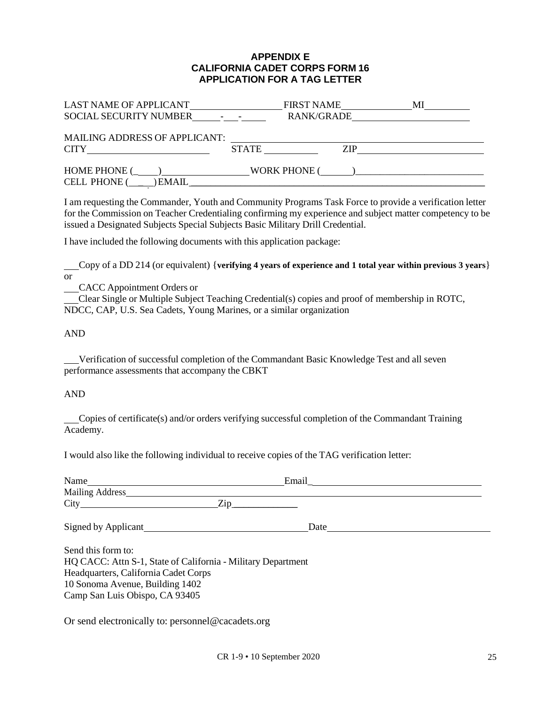#### **APPENDIX E CALIFORNIA CADET CORPS FORM 16 APPLICATION FOR A TAG LETTER**

| LAST NAME OF APPLICANT<br><b>SOCIAL SECURITY NUMBER</b> | <b>FIRST NAME</b><br>RANK/GRADE |     | MI |
|---------------------------------------------------------|---------------------------------|-----|----|
| <b>MAILING ADDRESS OF APPLICANT:</b><br>CITY .          | <b>STATE</b>                    | ZIP |    |
| <b>HOME PHONE (</b><br><b>CELL PHONE (</b><br>EMAIL     | WORK PHONE (                    |     |    |

I am requesting the Commander, Youth and Community Programs Task Force to provide a verification letter for the Commission on Teacher Credentialing confirming my experience and subject matter competency to be issued a Designated Subjects Special Subjects Basic Military Drill Credential.

I have included the following documents with this application package:

 Copy of a DD 214 (or equivalent) {**verifying 4 years of experience and 1 total year within previous 3 years**} or

CACC Appointment Orders or

 Clear Single or Multiple Subject Teaching Credential(s) copies and proof of membership in ROTC, NDCC, CAP, U.S. Sea Cadets, Young Marines, or a similar organization

#### AND

 Verification of successful completion of the Commandant Basic Knowledge Test and all seven performance assessments that accompany the CBKT

#### AND

 Copies of certificate(s) and/or orders verifying successful completion of the Commandant Training Academy.

I would also like the following individual to receive copies of the TAG verification letter:

| Name                                                                                                                                                                                            | Email |  |
|-------------------------------------------------------------------------------------------------------------------------------------------------------------------------------------------------|-------|--|
| Mailing Address                                                                                                                                                                                 |       |  |
|                                                                                                                                                                                                 | Zip   |  |
| Signed by Applicant                                                                                                                                                                             | Date  |  |
| Send this form to:<br>HQ CACC: Attn S-1, State of California - Military Department<br>Headquarters, California Cadet Corps<br>10 Sonoma Avenue, Building 1402<br>Camp San Luis Obispo, CA 93405 |       |  |

Or send electronically to: [personnel@cacadets](mailto:S1@cadet.org).org